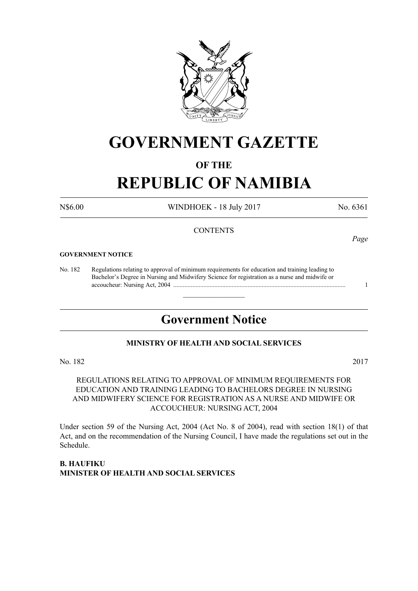

# **GOVERNMENT GAZETTE**

# **OF THE**

# **REPUBLIC OF NAMIBIA**

N\$6.00 WINDHOEK - 18 July 2017 No. 6361

# **CONTENTS**

#### **GOVERNMENT NOTICE**

No. 182 Regulations relating to approval of minimum requirements for education and training leading to Bachelor's Degree in Nursing and Midwifery Science for registration as a nurse and midwife or accoucheur: Nursing Act, 2004 ............................................................................................................. 1

# **Government Notice**

 $\overline{\phantom{a}}$  , where  $\overline{\phantom{a}}$ 

# **MINISTRY OF HEALTH AND SOCIAL SERVICES**

No. 182 2017

REGULATIONS RELATING TO APPROVAL OF MINIMUM REQUIREMENTS FOR EDUCATION AND TRAINING LEADING TO BACHELORS DEGREE IN NURSING AND MIDWIFERY SCIENCE FOR REGISTRATION AS A NURSE AND MIDWIFE OR ACCOUCHEUR: NURSING ACT, 2004

Under section 59 of the Nursing Act, 2004 (Act No. 8 of 2004), read with section 18(1) of that Act, and on the recommendation of the Nursing Council, I have made the regulations set out in the Schedule.

**B. Haufiku Minister of Health and Social Services** *Page*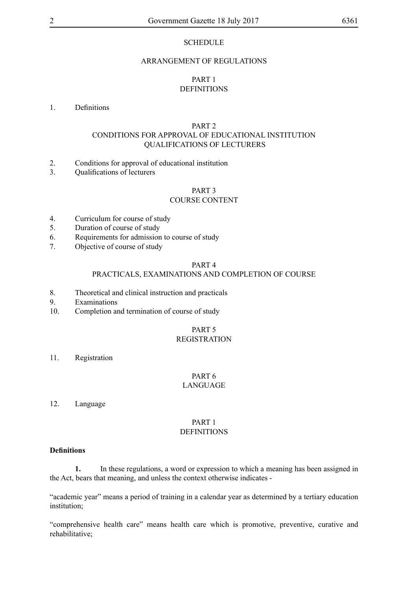# **SCHEDULE**

#### ARRANGEMENT OF REGULATIONS

# PART 1 DEFINITIONS

#### 1. Definitions

# PART 2

# CONDITIONS FOR APPROVAL OF EDUCATIONAL INSTITUTION QUALIFICATIONS OF LECTURERS

- 2. Conditions for approval of educational institution
- 3. Qualifications of lecturers

#### PART 3 COURSE CONTENT

#### 4. Curriculum for course of study

- 5. Duration of course of study
- 6. Requirements for admission to course of study
- 7. Objective of course of study

#### PART 4

# PRACTICALS, EXAMINATIONS AND COMPLETION OF COURSE

- 8. Theoretical and clinical instruction and practicals
- 9. Examinations
- 10. Completion and termination of course of study

# PART 5

# REGISTRATION

11. Registration

#### PART 6 LANGUAGE

12. Language

#### PART 1 **DEFINITIONS**

# **Definitions**

**1.** In these regulations, a word or expression to which a meaning has been assigned in the Act, bears that meaning, and unless the context otherwise indicates -

"academic year" means a period of training in a calendar year as determined by a tertiary education institution;

"comprehensive health care" means health care which is promotive, preventive, curative and rehabilitative;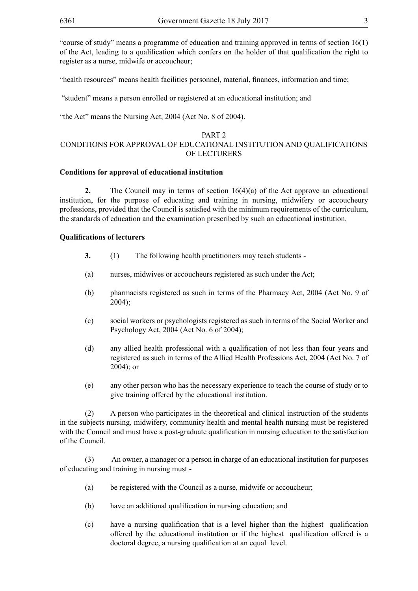"course of study" means a programme of education and training approved in terms of section 16(1) of the Act, leading to a qualification which confers on the holder of that qualification the right to register as a nurse, midwife or accoucheur;

"health resources" means health facilities personnel, material, finances, information and time;

"student" means a person enrolled or registered at an educational institution; and

"the Act" means the Nursing Act, 2004 (Act No. 8 of 2004).

#### PART 2

# CONDITIONS FOR APPROVAL OF EDUCATIONAL INSTITUTION AND QUALIFICATIONS OF LECTURERS

# **Conditions for approval of educational institution**

**2.** The Council may in terms of section 16(4)(a) of the Act approve an educational institution, for the purpose of educating and training in nursing, midwifery or accoucheury professions, provided that the Council is satisfied with the minimum requirements of the curriculum, the standards of education and the examination prescribed by such an educational institution.

# **Qualifications of lecturers**

- **3.** (1) The following health practitioners may teach students -
- (a) nurses, midwives or accoucheurs registered as such under the Act;
- (b) pharmacists registered as such in terms of the Pharmacy Act, 2004 (Act No. 9 of 2004);
- (c) social workers or psychologists registered as such in terms of the Social Worker and Psychology Act, 2004 (Act No. 6 of 2004);
- (d) any allied health professional with a qualification of not less than four years and registered as such in terms of the Allied Health Professions Act, 2004 (Act No. 7 of 2004); or
- (e) any other person who has the necessary experience to teach the course of study or to give training offered by the educational institution.

(2) A person who participates in the theoretical and clinical instruction of the students in the subjects nursing, midwifery, community health and mental health nursing must be registered with the Council and must have a post-graduate qualification in nursing education to the satisfaction of the Council.

(3) An owner, a manager or a person in charge of an educational institution for purposes of educating and training in nursing must -

- (a) be registered with the Council as a nurse, midwife or accoucheur;
- (b) have an additional qualification in nursing education; and
- (c) have a nursing qualification that is a level higher than the highest qualification offered by the educational institution or if the highest qualification offered is a doctoral degree, a nursing qualification at an equal level.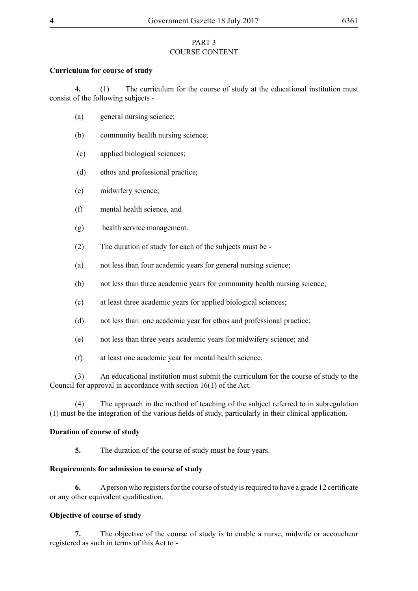# PART 3 COURSE CONTENT

# **Curriculum for course of study**

**4.** (1) The curriculum for the course of study at the educational institution must consist of the following subjects -

- (a) general nursing science;
- (b) community health nursing science;
- (c) applied biological sciences;
- (d) ethos and professional practice;
- (e) midwifery science;
- (f) mental health science, and
- (g) health service management.
- (2) The duration of study for each of the subjects must be -
- (a) not less than four academic years for general nursing science;
- (b) not less than three academic years for community health nursing science;
- (c) at least three academic years for applied biological sciences;
- (d) not less than one academic year for ethos and professional practice;
- (e) not less than three years academic years for midwifery science; and
- (f) at least one academic year for mental health science.

(3) An educational institution must submit the curriculum for the course of study to the Council for approval in accordance with section 16(1) of the Act.

(4) The approach in the method of teaching of the subject referred to in subregulation (1) must be the integration of the various fields of study, particularly in their clinical application.

# **Duration of course of study**

**5.** The duration of the course of study must be four years.

# **Requirements for admission to course of study**

**6.** A person who registers for the course of study is required to have a grade 12 certificate or any other equivalent qualification.

# **Objective of course of study**

**7.** The objective of the course of study is to enable a nurse, midwife or accoucheur registered as such in terms of this Act to -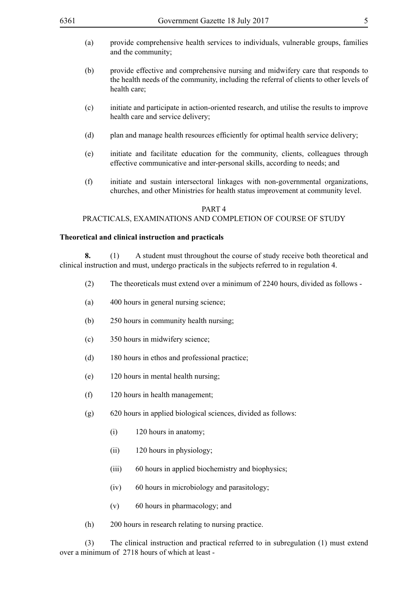- 
- (a) provide comprehensive health services to individuals, vulnerable groups, families and the community;
- (b) provide effective and comprehensive nursing and midwifery care that responds to the health needs of the community, including the referral of clients to other levels of health care;
- (c) initiate and participate in action-oriented research, and utilise the results to improve health care and service delivery;
- (d) plan and manage health resources efficiently for optimal health service delivery;
- (e) initiate and facilitate education for the community, clients, colleagues through effective communicative and inter-personal skills, according to needs; and
- (f) initiate and sustain intersectoral linkages with non-governmental organizations, churches, and other Ministries for health status improvement at community level.

#### PART 4

# PRACTICALS, EXAMINATIONS AND COMPLETION OF COURSE OF STUDY

# **Theoretical and clinical instruction and practicals**

**8.** (1) A student must throughout the course of study receive both theoretical and clinical instruction and must, undergo practicals in the subjects referred to in regulation 4.

- (2) The theoreticals must extend over a minimum of 2240 hours, divided as follows -
- (a) 400 hours in general nursing science;
- (b) 250 hours in community health nursing;
- (c) 350 hours in midwifery science;
- (d) 180 hours in ethos and professional practice;
- (e) 120 hours in mental health nursing;
- (f) 120 hours in health management;
- (g) 620 hours in applied biological sciences, divided as follows:
	- (i) 120 hours in anatomy;
	- (ii) 120 hours in physiology;
	- (iii) 60 hours in applied biochemistry and biophysics;
	- (iv) 60 hours in microbiology and parasitology;
	- (v) 60 hours in pharmacology; and
- (h) 200 hours in research relating to nursing practice.

(3) The clinical instruction and practical referred to in subregulation (1) must extend over a minimum of 2718 hours of which at least -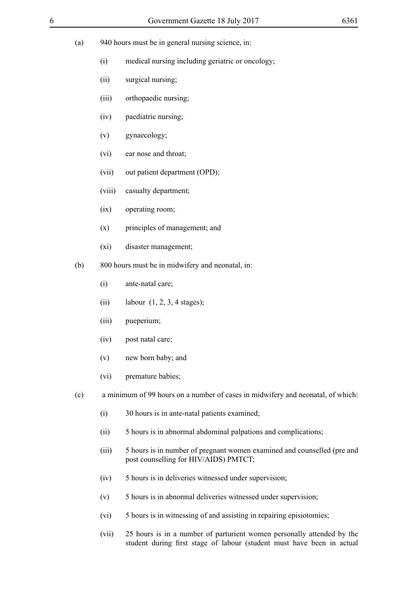- 
- (a) 940 hours must be in general nursing science, in:
	- (i) medical nursing including geriatric or oncology;
	- (ii) surgical nursing;
	- (iii) orthopaedic nursing;
	- (iv) paediatric nursing;
	- (v) gynaecology;
	- (vi) ear nose and throat;
	- (vii) out patient department (OPD);
	- (viii) casualty department;
	- (ix) operating room;
	- (x) principles of management; and
	- (xi) disaster management;
- (b) 800 hours must be in midwifery and neonatal, in:
	- (i) ante-natal care;
	- (ii) labour  $(1, 2, 3, 4$  stages);
	- (iii) pueperium;
	- (iv) post natal care;
	- (v) new born baby; and
	- (vi) premature babies;
- (c) a minimum of 99 hours on a number of cases in midwifery and neonatal, of which:
	- (i) 30 hours is in ante-natal patients examined;
	- (ii) 5 hours is in abnormal abdominal palpations and complications;
	- (iii) 5 hours is in number of pregnant women examined and counselled (pre and post counselling for HIV/AIDS) PMTCT;
	- (iv) 5 hours is in deliveries witnessed under supervision;
	- (v) 5 hours is in abnormal deliveries witnessed under supervision;
	- (vi) 5 hours is in witnessing of and assisting in repairing episiotomies;
	- (vii) 25 hours is in a number of parturient women personally attended by the student during first stage of labour (student must have been in actual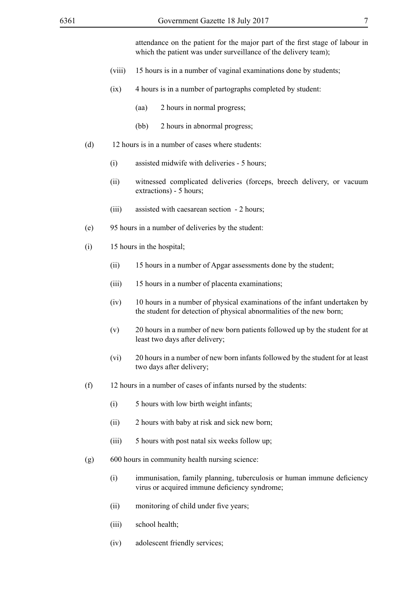attendance on the patient for the major part of the first stage of labour in which the patient was under surveillance of the delivery team):

- (viii) 15 hours is in a number of vaginal examinations done by students;
- (ix) 4 hours is in a number of partographs completed by student:
	- (aa) 2 hours in normal progress;
	- (bb) 2 hours in abnormal progress;
- (d) 12 hours is in a number of cases where students:
	- (i) assisted midwife with deliveries 5 hours;
	- (ii) witnessed complicated deliveries (forceps, breech delivery, or vacuum extractions) - 5 hours;
	- (iii) assisted with caesarean section 2 hours;
- (e) 95 hours in a number of deliveries by the student:
- (i) 15 hours in the hospital;
	- (ii) 15 hours in a number of Apgar assessments done by the student;
	- (iii) 15 hours in a number of placenta examinations;
	- (iv) 10 hours in a number of physical examinations of the infant undertaken by the student for detection of physical abnormalities of the new born;
	- (v) 20 hours in a number of new born patients followed up by the student for at least two days after delivery;
	- (vi) 20 hours in a number of new born infants followed by the student for at least two days after delivery;
- (f) 12 hours in a number of cases of infants nursed by the students:
	- (i) 5 hours with low birth weight infants;
	- (ii) 2 hours with baby at risk and sick new born;
	- (iii) 5 hours with post natal six weeks follow up;
- (g) 600 hours in community health nursing science:
	- (i) immunisation, family planning, tuberculosis or human immune deficiency virus or acquired immune deficiency syndrome;
	- (ii) monitoring of child under five years;
	- (iii) school health;
	- (iv) adolescent friendly services;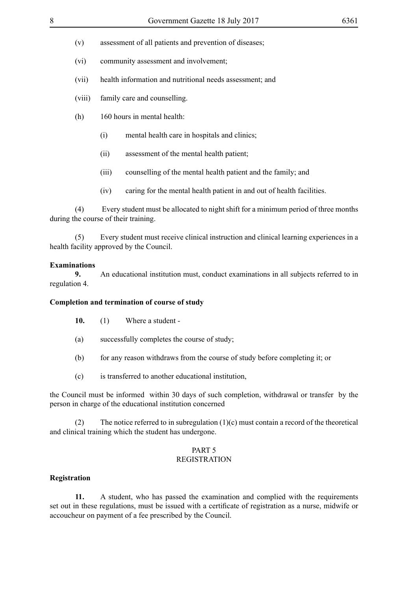- (v) assessment of all patients and prevention of diseases;
- (vi) community assessment and involvement;
- (vii) health information and nutritional needs assessment; and
- (viii) family care and counselling.
- (h) 160 hours in mental health:
	- (i) mental health care in hospitals and clinics;
	- (ii) assessment of the mental health patient;
	- (iii) counselling of the mental health patient and the family; and
	- (iv) caring for the mental health patient in and out of health facilities.

(4) Every student must be allocated to night shift for a minimum period of three months during the course of their training.

(5) Every student must receive clinical instruction and clinical learning experiences in a health facility approved by the Council.

# **Examinations**

**9.** An educational institution must, conduct examinations in all subjects referred to in regulation 4.

# **Completion and termination of course of study**

- **10.** (1) Where a student -
- (a) successfully completes the course of study;
- (b) for any reason withdraws from the course of study before completing it; or
- (c) is transferred to another educational institution,

the Council must be informed within 30 days of such completion, withdrawal or transfer by the person in charge of the educational institution concerned

(2) The notice referred to in subregulation (1)(c) must contain a record of the theoretical and clinical training which the student has undergone.

# PART 5

# REGISTRATION

# **Registration**

**11.** A student, who has passed the examination and complied with the requirements set out in these regulations, must be issued with a certificate of registration as a nurse, midwife or accoucheur on payment of a fee prescribed by the Council.